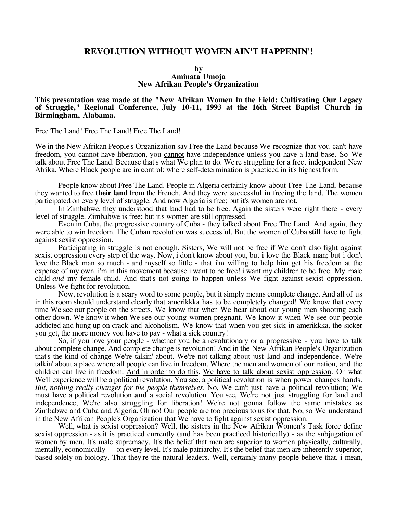## **REVOLUTION WITHOUT WOMEN AIN'T HAPPENIN'!**

## **by Aminata Umoja New Afrikan People's Organization**

## **This presentation was made at the "New Afrikan Women In the Field: Cultivating Our Legacy of Struggle," Regional Conference, July 10-11, 1993 at the 16th Street Baptist Church in Birmingham, Alabama.**

Free The Land! Free The Land! Free The Land!

We in the New Afrikan People's Organization say Free the Land because We recognize that you can't have freedom, you cannot have liberation, you cannot have independence unless you have a land base. So We talk about Free The Land. Because that's what We plan to do. We're struggling for a free, independent New Afrika. Where Black people are in control; where self-determination is practiced in it's highest form.

People know about Free The Land. People in Algeria certainly know about Free The Land, because they wanted to free **their land** from the French. And they were successful in freeing the land. The women participated on every level of struggle. And now Algeria is free; but it's women are not.

In Zimbabwe, they understood that land had to be free. Again the sisters were right there - every level of struggle. Zimbabwe is free; but it's women are still oppressed.

Even in Cuba, the progressive country of Cuba - they talked about Free The Land. And again, they were able to win freedom. The Cuban revolution was successful. But the women of Cuba **still** have to fight against sexist oppression.

Participating in struggle is not enough. Sisters, We will not be free if We don't also fight against sexist oppression every step of the way. Now, i don't know about you, but i love the Black man; but i don't love the Black man so much - and myself so little - that i'm willing to help him get his freedom at the expense of my own. i'm in this movement because i want to be free! i want my children to be free. My male child *and* my female child. And that's not going to happen unless We fight against sexist oppression. Unless We fight for revolution.

Now, revolution is a scary word to some people, but it simply means complete change. And all of us in this room should understand clearly that amerikkka has to be completely changed! We know that every time We see our people on the streets. We know that when We hear about our young men shooting each other down. We know it when We see our young women pregnant. We know it when We see our people addicted and hung up on crack and alcoholism. We know that when you get sick in amerikkka, the sicker you get, the more money you have to pay - what a sick country!

So, if you love your people - whether you be a revolutionary or a progressive - you have to talk about complete change. And complete change is revolution! And in the New Afrikan People's Organization that's the kind of change We're talkin' about. We're not talking about just land and independence. We're talkin' about a place where all people can live in freedom. Where the men and women of our nation, and the children can live in freedom. And in order to do this, We have to talk about sexist oppression. Or what We'll experience will be a political revolution. You see, a political revolution is when power changes hands. *But, nothing really changes for the people themselves*. No, We can't just have a political revolution; We must have a political revolution **and** a social revolution. You see, We're not just struggling for land and independence, We're also struggling for liberation! We're not gonna follow the same mistakes as Zimbabwe and Cuba and Algeria. Oh no! Our people are too precious to us for that. No, so We understand in the New Afrikan People's Organization that We have to fight against sexist oppression.

Well, what is sexist oppression? Well, the sisters in the New Afrikan Women's Task force define sexist oppression - as it is practiced currently (and has been practiced historically) - as the subjugation of women by men. It's male supremacy. It's the belief that men are superior to women physically, culturally, mentally, economically --- on every level. It's male patriarchy. It's the belief that men are inherently superior, based solely on biology. That they're the natural leaders. Well, certainly many people believe that. i mean,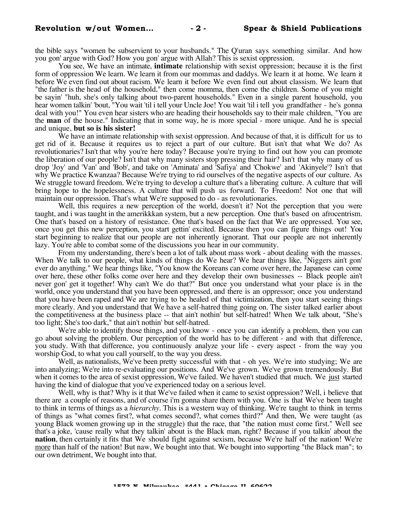the bible says "women be subservient to your husbands." The Q'uran says something similar. And how you gon' argue with God? How you gon' argue with Allah? This is sexist oppression.

You see, We have an intimate, **intimate** relationship with sexist oppression; because it is the first form of oppression We learn. We learn it from our mommas and daddys. We learn it at home. We learn it before We even find out about racism. We learn it before We even find out about classism. We learn that "the father is the head of the household," then come momma, then come the children. Some of you might be sayin' "huh, she's only talking about two-parent households." Even in a single parent household, you hear women talkin' 'bout, "You wait 'til i tell your Uncle Joe! You wait 'til i tell you grandfather - he's gonna deal with you!" You even hear sisters who are heading their households say to their male children, "You are the **man** of the house." Indicating that in some way, he is more special - more unique. And he is special and unique, **but so is his sister!**

We have an intimate relationship with sexist oppression. And because of that, it is difficult for us to get rid of it. Because it requires us to reject a part of our culture. But isn't that what We do? As revolutionaries? Isn't that why you're here today? Because you're trying to find out how you can promote the liberation of our people? Isn't that why many sisters stop pressing their hair? Isn't that why many of us drop 'Joy' and 'Van' and 'Bob', and take on 'Aminata' and 'Safiya' and 'Chokwe' and 'Akinyele'? Isn't that why We practice Kwanzaa? Because We're trying to rid ourselves of the negative aspects of our culture. As We struggle toward freedom. We're trying to develop a culture that's a liberating culture. A culture that will bring hope to the hopelessness. A culture that will push us forward. To Freedom! Not one that will maintain our oppression. That's what We're supposed to do - as revolutionaries.

Well, this requires a new perception of the world, doesn't it? Not the perception that you were taught, and i was taught in the amerikkkan system, but a new perception. One that's based on afrocentrism. One that's based on a history of resistance. One that's based on the fact that We are oppressed. You see, once you get this new perception, you start gettin' excited. Because then you can figure things out! You start beginning to realize that our people are not inherently ignorant. That our people are not inherently lazy. You're able to combat some of the discussions you hear in our community.

From my understanding, there's been a lot of talk about mass work - about dealing with the masses. When We talk to our people, what kinds of things do We hear? We hear things like, "Niggers ain't gon' ever do anything." We hear things like, "You know the Koreans can come over here, the Japanese can come over here, these other folks come over here and they develop their own businesses -- Black people ain't never gon' get it together! Why can't We do that?" But once you understand what your place is in the world, once you understand that you have been oppressed, and there is an oppressor; once you understand that you have been raped and We are trying to be healed of that victimization, then you start seeing things more clearly. And you understand that We have a self-hatred thing going on. The sister talked earlier about the competitiveness at the business place -- that ain't nothin' but self-hatred! When We talk about, "She's too light; She's too dark," that ain't nothin' but self-hatred.

We're able to identify those things, and you know - once you can identify a problem, then you can go about solving the problem. Our perception of the world has to be different - and with that difference, you study. With that difference, you continuously analyze your life - every aspect - from the way you worship God, to what you call yourself, to the way you dress.

Well, as nationalists, We've been pretty successful with that - oh yes. We're into studying; We are into analyzing; We're into re-evaluating our positions. And We've grown. We've grown tremendously. But when it comes to the area of sexist oppression, We've failed. We haven't studied that much. We just started having the kind of dialogue that you've experienced today on a serious level.

Well, why is that? Why is it that We've failed when it came to sexist oppression? Well, i believe that there are a couple of reasons, and of course i'm gonna share them with you. One is that We've been taught to think in terms of things as a *hierarchy*. This is a western way of thinking. We're taught to think in terms of things as "what comes first?, what comes second?, what comes third?" And then, We were taught (as young Black women growing up in the struggle) that the race, that "the nation must come first." Well see that's a joke, 'cause really what they talkin' about is the Black man, right? Because if you talkin' about the **nation**, then certainly it fits that We should fight against sexism, because We're half of the nation! We're more than half of the nation! But naw, We bought into that. We bought into supporting "the Black man"; to our own detriment, We bought into that.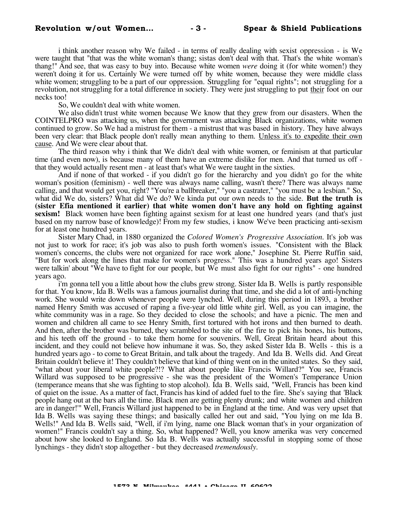i think another reason why We failed - in terms of really dealing with sexist oppression - is We were taught that "that was the white woman's thang; sistas don't deal with that. That's the white woman's thang!" And see, that was easy to buy into. Because white women *were* doing it (for white women!) they weren't doing it for us. Certainly We were turned off by white women, because they were middle class white women; struggling to be a part of our oppression. Struggling for "equal rights"; not struggling for a revolution, not struggling for a total difference in society. They were just struggling to put their foot on our necks too!

So, We couldn't deal with white women.

We also didn't trust white women because We know that they grew from our disasters. When the COINTELPRO was attacking us, when the government was attacking Black organizations, white women continued to grow. So We had a mistrust for them - a mistrust that was based in history. They have always been very clear: that Black people don't really mean anything to them. Unless it's to expedite their own cause. And We were clear about that.

The third reason why i think that We didn't deal with white women, or feminism at that particular time (and even now), is because many of them have an extreme dislike for men. And that turned us off that they would actually resent men - at least that's what We were taught in the sixties.

And if none of that worked - if you didn't go for the hierarchy and you didn't go for the white woman's position (feminism) - well there was always name calling, wasn't there? There was always name calling, and that would get you, right? "You're a ballbreaker," "you a castrater," "you must be a lesbian." So, what did We do, sisters? What did We do? We kinda put our own needs to the side. **But the truth is (sister Efia mentioned it earlier) that white women don't have any hold on fighting against sexism!** Black women have been fighting against sexism for at least one hundred years (and that's just based on my narrow base of knowledge)! From my few studies, i know We've been practicing anti-sexism for at least one hundred years.

Sister Mary Chad, in 1880 organized the *Colored Women's Progressive Association*. It's job was not just to work for race; it's job was also to push forth women's issues. "Consistent with the Black women's concerns, the clubs were not organized for race work alone," Josephine St. Pierre Ruffin said, "But for work along the lines that make for women's progress." This was a hundred years ago! Sisters were talkin' about "We have to fight for our people, but We must also fight for our rights" - one hundred years ago.

i'm gonna tell you a little about how the clubs grew strong. Sister Ida B. Wells is partly responsible for that. You know, Ida B. Wells was a famous journalist during that time, and she did a lot of anti-lynching work. She would write down whenever people were lynched. Well, during this period in 1893, a brother named Henry Smith was accused of raping a five-year old little white girl. Well, as you can imagine, the white community was in a rage. So they decided to close the schools; and have a picnic. The men and women and children all came to see Henry Smith, first tortured with hot irons and then burned to death. And then, after the brother was burned, they scrambled to the site of the fire to pick his bones, his buttons, and his teeth off the ground - to take them home for souvenirs. Well, Great Britain heard about this incident, and they could not believe how inhumane it was. So, they asked Sister Ida B. Wells - this is a hundred years ago - to come to Great Britain, and talk about the tragedy. And Ida B. Wells did. And Great Britain couldn't believe it! They couldn't believe that kind of thing went on in the united states. So they said, "what about your liberal white people?!? What about people like Francis Willard?" You see, Francis Willard was supposed to be progressive - she was the president of the Women's Temperance Union (temperance means that she was fighting to stop alcohol). Ida B. Wells said, "Well, Francis has been kind of quiet on the issue. As a matter of fact, Francis has kind of added fuel to the fire. She's saying that 'Black people hang out at the bars all the time. Black men are getting plenty drunk; and white women and children are in danger!'" Well, Francis Willard just happened to be in England at the time. And was very upset that Ida B. Wells was saying these things; and basically called her out and said, "You lying on me Ida B. Wells!" And Ida B. Wells said, "Well, if i'm lying, name one Black woman that's in your organization of women!" Francis couldn't say a thing. So, what happened? Well, you know amerika was very concerned about how she looked to England. So Ida B. Wells was actually successful in stopping some of those lynchings - they didn't stop altogether - but they decreased *tremendously*.